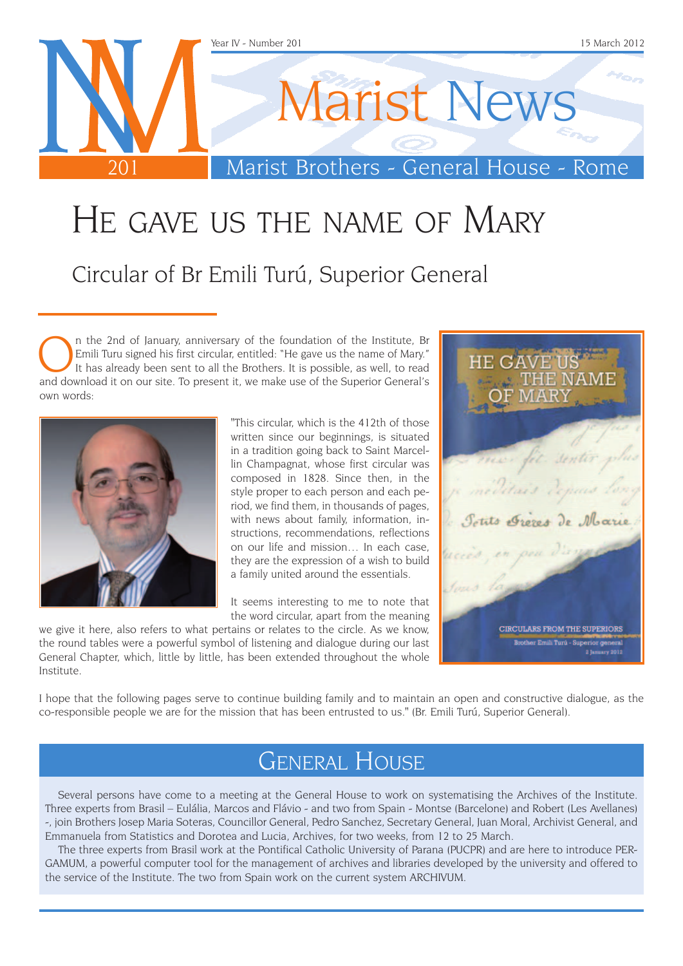

# He gave us the name of Mary

Circular of Br Emili Turú, Superior General

In the 2nd of January, anniversary of the foundation of the Institute, Br Emili Turu signed his first circular, entitled: "He gave us the name of Mary."<br>It has already been sent to all the Brothers. It is possible, as well Emili Turu signed his first circular, entitled: "He gave us the name of Mary." and download it on our site. To present it, we make use of the Superior General's own words:



"This circular, which is the 412th of those written since our beginnings, is situated in a tradition going back to Saint Marcellin Champagnat, whose first circular was composed in 1828. Since then, in the style proper to each person and each period, we find them, in thousands of pages, with news about family, information, instructions, recommendations, reflections on our life and mission… In each case, they are the expression of a wish to build a family united around the essentials.

It seems interesting to me to note that the word circular, apart from the meaning

we give it here, also refers to what pertains or relates to the circle. As we know, the round tables were a powerful symbol of listening and dialogue during our last General Chapter, which, little by little, has been extended throughout the whole Institute.



I hope that the following pages serve to continue building family and to maintain an open and constructive dialogue, as the co-responsible people we are for the mission that has been entrusted to us." (Br. Emili Turú, Superior General).

## General House

Several persons have come to a meeting at the General House to work on systematising the Archives of the Institute. Three experts from Brasil – Eulália, Marcos and Flávio - and two from Spain - Montse (Barcelone) and Robert (Les Avellanes) -, join Brothers Josep Maria Soteras, Councillor General, Pedro Sanchez, Secretary General, Juan Moral, Archivist General, and Emmanuela from Statistics and Dorotea and Lucia, Archives, for two weeks, from 12 to 25 March.

The three experts from Brasil work at the Pontifical Catholic University of Parana (PUCPR) and are here to introduce PER-GAMUM, a powerful computer tool for the management of archives and libraries developed by the university and offered to the service of the Institute. The two from Spain work on the current system ARCHIVUM.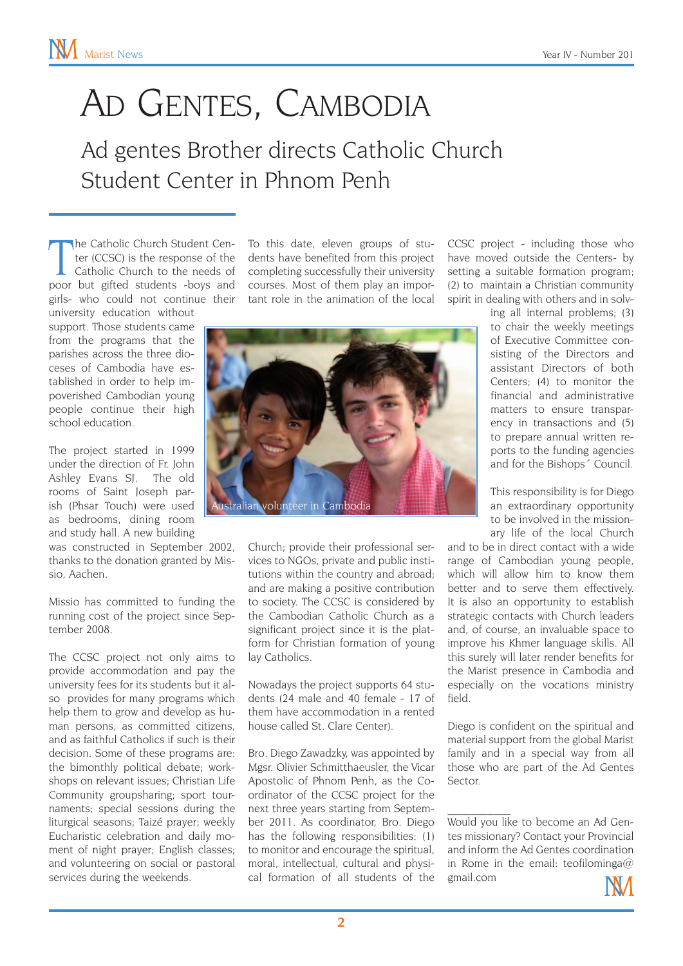# AD GENTES, CAMBODIA

Ad gentes Brother directs Catholic Church Student Center in Phnom Penh

The Catholic Church Student Center (CCSC) is the response of the Catholic Church to the needs of poor but gifted students -boys and he Catholic Church Student Center (CCSC) is the response of the Catholic Church to the needs of girls- who could not continue their

university education without support. Those students came from the programs that the parishes across the three dioceses of Cambodia have established in order to help impoverished Cambodian young people continue their high school education.

The project started in 1999 under the direction of Fr. John Ashley Evans SJ. The old rooms of Saint Joseph parish (Phsar Touch) were used as bedrooms, dining room and study hall. A new building

was constructed in September 2002, thanks to the donation granted by Missio, Aachen.

Missio has committed to funding the running cost of the project since September 2008.

The CCSC project not only aims to provide accommodation and pay the university fees for its students but it also provides for many programs which help them to grow and develop as human persons, as committed citizens, and as faithful Catholics if such is their decision. Some of these programs are: the bimonthly political debate; workshops on relevant issues; Christian Life Community groupsharing; sport tournaments; special sessions during the liturgical seasons; Taizé prayer; weekly Eucharistic celebration and daily moment of night prayer; English classes; and volunteering on social or pastoral services during the weekends.

To this date, eleven groups of students have benefited from this project completing successfully their university courses. Most of them play an important role in the animation of the local



Church; provide their professional services to NGOs, private and public institutions within the country and abroad; and are making a positive contribution to society. The CCSC is considered by the Cambodian Catholic Church as a significant project since it is the platform for Christian formation of young lay Catholics.

Nowadays the project supports 64 students (24 male and 40 female - 17 of them have accommodation in a rented house called St. Clare Center).

Bro. Diego Zawadzky, was appointed by Mgsr. Olivier Schmitthaeusler, the Vicar Apostolic of Phnom Penh, as the Coordinator of the CCSC project for the next three years starting from September 2011. As coordinator, Bro. Diego has the following responsibilities: (1) to monitor and encourage the spiritual, moral, intellectual, cultural and physical formation of all students of the

CCSC project - including those who have moved outside the Centers- by setting a suitable formation program; (2) to maintain a Christian community spirit in dealing with others and in solv-

> ing all internal problems; (3) to chair the weekly meetings of Executive Committee consisting of the Directors and assistant Directors of both Centers; (4) to monitor the financial and administrative matters to ensure transparency in transactions and (5) to prepare annual written reports to the funding agencies and for the Bishops´ Council.

> This responsibility is for Diego an extraordinary opportunity to be involved in the missionary life of the local Church

and to be in direct contact with a wide range of Cambodian young people, which will allow him to know them better and to serve them effectively. It is also an opportunity to establish strategic contacts with Church leaders and, of course, an invaluable space to improve his Khmer language skills. All this surely will later render benefits for the Marist presence in Cambodia and especially on the vocations ministry field.

Diego is confident on the spiritual and material support from the global Marist family and in a special way from all those who are part of the Ad Gentes Sector.

 $\mathcal{L}_\text{max}$ Would you like to become an Ad Gentes missionary? Contact your Provincial and inform the Ad Gentes coordination in Rome in the email: teofilominga@ gmail.com

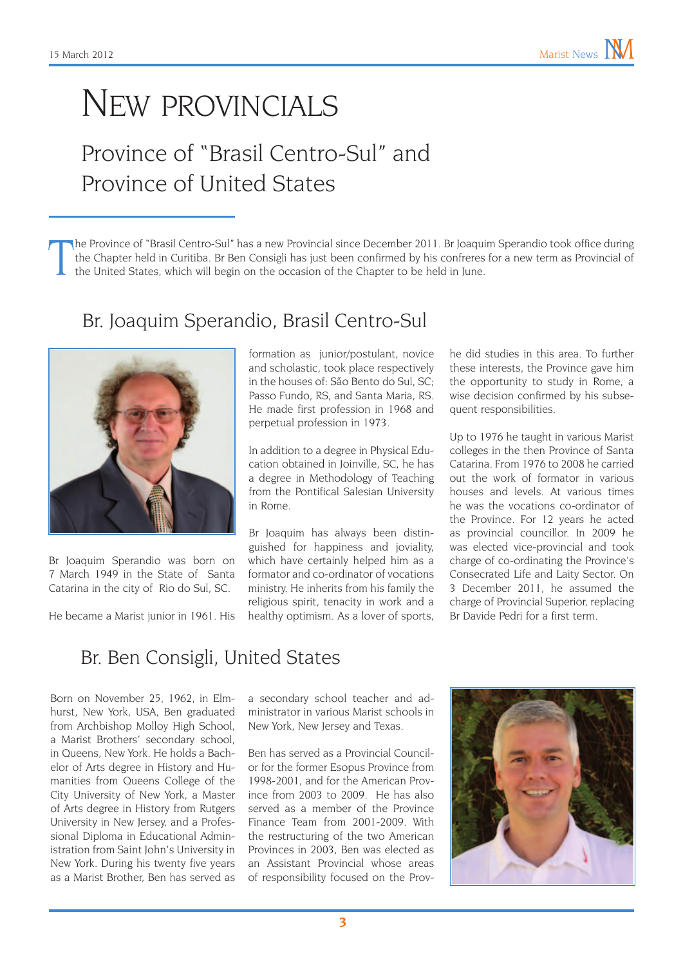## New provincials

## Province of "Brasil Centro-Sul" and Province of United States

T he Province of "Brasil Centro-Sul" has a new Provincial since December 2011. Br Joaquim Sperandio took office during the Chapter held in Curitiba. Br Ben Consigli has just been confirmed by his confreres for a new term as Provincial of the United States, which will begin on the occasion of the Chapter to be held in June.

#### Br. Joaquim Sperandio, Brasil Centro-Sul



Br Joaquim Sperandio was born on 7 March 1949 in the State of Santa Catarina in the city of Rio do Sul, SC.

He became a Marist junior in 1961. His

formation as junior/postulant, novice and scholastic, took place respectively in the houses of: São Bento do Sul, SC; Passo Fundo, RS, and Santa Maria, RS. He made first profession in 1968 and perpetual profession in 1973.

In addition to a degree in Physical Education obtained in Joinville, SC, he has a degree in Methodology of Teaching from the Pontifical Salesian University in Rome.

Br Joaquim has always been distinguished for happiness and joviality, which have certainly helped him as a formator and co-ordinator of vocations ministry. He inherits from his family the religious spirit, tenacity in work and a healthy optimism. As a lover of sports,

he did studies in this area. To further these interests, the Province gave him the opportunity to study in Rome, a wise decision confirmed by his subsequent responsibilities.

Up to 1976 he taught in various Marist colleges in the then Province of Santa Catarina. From 1976 to 2008 he carried out the work of formator in various houses and levels. At various times he was the vocations co-ordinator of the Province. For 12 years he acted as provincial councillor. In 2009 he was elected vice-provincial and took charge of co-ordinating the Province's Consecrated Life and Laity Sector. On 3 December 2011, he assumed the charge of Provincial Superior, replacing Br Davide Pedri for a first term.

### Br. Ben Consigli, United States

Born on November 25, 1962, in Elmhurst, New York, USA, Ben graduated from Archbishop Molloy High School, a Marist Brothers' secondary school, in Queens, New York. He holds a Bachelor of Arts degree in History and Humanities from Queens College of the City University of New York, a Master of Arts degree in History from Rutgers University in New Jersey, and a Professional Diploma in Educational Administration from Saint John's University in New York. During his twenty five years as a Marist Brother, Ben has served as a secondary school teacher and administrator in various Marist schools in New York, New Jersey and Texas.

Ben has served as a Provincial Councilor for the former Esopus Province from 1998-2001, and for the American Province from 2003 to 2009. He has also served as a member of the Province Finance Team from 2001-2009. With the restructuring of the two American Provinces in 2003, Ben was elected as an Assistant Provincial whose areas of responsibility focused on the Prov-